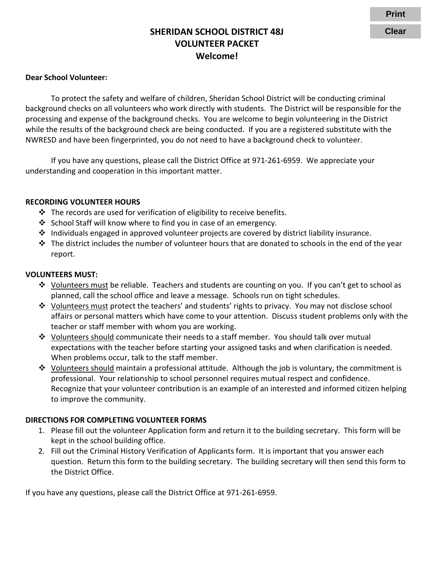## **SHERIDAN SCHOOL DISTRICT 48J VOLUNTEER PACKET Welcome!**

#### **Dear School Volunteer:**

To protect the safety and welfare of children, Sheridan School District will be conducting criminal background checks on all volunteers who work directly with students. The District will be responsible for the processing and expense of the background checks. You are welcome to begin volunteering in the District while the results of the background check are being conducted. If you are a registered substitute with the NWRESD and have been fingerprinted, you do not need to have a background check to volunteer.

If you have any questions, please call the District Office at 971-261-6959. We appreciate your understanding and cooperation in this important matter.

#### **RECORDING VOLUNTEER HOURS**

- $\cdot$  The records are used for verification of eligibility to receive benefits.
- $\cdot$  School Staff will know where to find you in case of an emergency.
- ◆ Individuals engaged in approved volunteer projects are covered by district liability insurance.
- $\div$  The district includes the number of volunteer hours that are donated to schools in the end of the year report.

#### **VOLUNTEERS MUST:**

- $\div$  Volunteers must be reliable. Teachers and students are counting on you. If you can't get to school as planned, call the school office and leave a message. Schools run on tight schedules.
- $\div$  Volunteers must protect the teachers' and students' rights to privacy. You may not disclose school affairs or personal matters which have come to your attention. Discuss student problems only with the teacher or staff member with whom you are working.
- Volunteers should communicate their needs to a staff member. You should talk over mutual expectations with the teacher before starting your assigned tasks and when clarification is needed. When problems occur, talk to the staff member.
- \* Volunteers should maintain a professional attitude. Although the job is voluntary, the commitment is professional. Your relationship to school personnel requires mutual respect and confidence. Recognize that your volunteer contribution is an example of an interested and informed citizen helping to improve the community.

#### **DIRECTIONS FOR COMPLETING VOLUNTEER FORMS**

- 1. Please fill out the volunteer Application form and return it to the building secretary. This form will be kept in the school building office.
- 2. Fill out the Criminal History Verification of Applicants form. It is important that you answer each question. Return this form to the building secretary. The building secretary will then send this form to the District Office.

If you have any questions, please call the District Office at 971-261-6959.

**Print**

**Clear**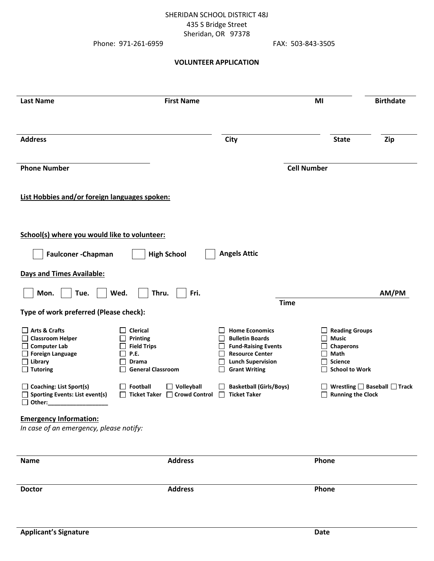### SHERIDAN SCHOOL DISTRICT 48J 435 S Bridge Street Sheridan, OR 97378

Phone: 971-261-6959 FAX: 503-843-3505

#### **VOLUNTEER APPLICATION**

| <b>Last Name</b>                                                                                                      | <b>First Name</b>                                                                                     |                                                                                                                                                             | MI                                                                                                    | <b>Birthdate</b>                       |
|-----------------------------------------------------------------------------------------------------------------------|-------------------------------------------------------------------------------------------------------|-------------------------------------------------------------------------------------------------------------------------------------------------------------|-------------------------------------------------------------------------------------------------------|----------------------------------------|
| <b>Address</b>                                                                                                        |                                                                                                       | <b>City</b>                                                                                                                                                 | <b>State</b>                                                                                          | Zip                                    |
| <b>Phone Number</b>                                                                                                   |                                                                                                       |                                                                                                                                                             | <b>Cell Number</b>                                                                                    |                                        |
| List Hobbies and/or foreign languages spoken:                                                                         |                                                                                                       |                                                                                                                                                             |                                                                                                       |                                        |
| School(s) where you would like to volunteer:                                                                          |                                                                                                       |                                                                                                                                                             |                                                                                                       |                                        |
| Faulconer-Chapman                                                                                                     | <b>High School</b>                                                                                    | <b>Angels Attic</b>                                                                                                                                         |                                                                                                       |                                        |
| <b>Days and Times Available:</b>                                                                                      |                                                                                                       |                                                                                                                                                             |                                                                                                       |                                        |
| Mon.<br>Tue.                                                                                                          | Wed.<br>Fri.<br>Thru.                                                                                 |                                                                                                                                                             |                                                                                                       | AM/PM                                  |
| Type of work preferred (Please check):                                                                                |                                                                                                       | <b>Time</b>                                                                                                                                                 |                                                                                                       |                                        |
| Arts & Crafts<br>□ Classroom Helper<br>□ Computer Lab<br>$\Box$ Foreign Language<br>$\Box$ Library<br>$\Box$ Tutoring | <b>Clerical</b><br>Printing<br><b>Field Trips</b><br>P.E.<br><b>Drama</b><br><b>General Classroom</b> | <b>Home Economics</b><br><b>Bulletin Boards</b><br><b>Fund-Raising Events</b><br><b>Resource Center</b><br><b>Lunch Supervision</b><br><b>Grant Writing</b> | <b>Reading Groups</b><br><b>Music</b><br>Chaperons<br>Math<br><b>Science</b><br><b>School to Work</b> |                                        |
| $\Box$ Coaching: List Sport(s)<br>Sporting Events: List event(s)<br>Other:<br>$\mathbf{I}$                            | Football<br>$\Box$ Volleyball<br><b>Ticket Taker</b><br>$\Box$ Crowd Control                          | <b>Basketball (Girls/Boys)</b><br>$\Box$<br><b>Ticket Taker</b><br>$\mathbf{I}$                                                                             | <b>Running the Clock</b>                                                                              | Wrestling $\Box$ Baseball $\Box$ Track |
| <b>Emergency Information:</b><br>In case of an emergency, please notify:                                              |                                                                                                       |                                                                                                                                                             |                                                                                                       |                                        |
| <b>Name</b>                                                                                                           | <b>Address</b>                                                                                        |                                                                                                                                                             | Phone                                                                                                 |                                        |
| <b>Doctor</b>                                                                                                         | <b>Address</b>                                                                                        |                                                                                                                                                             | Phone                                                                                                 |                                        |